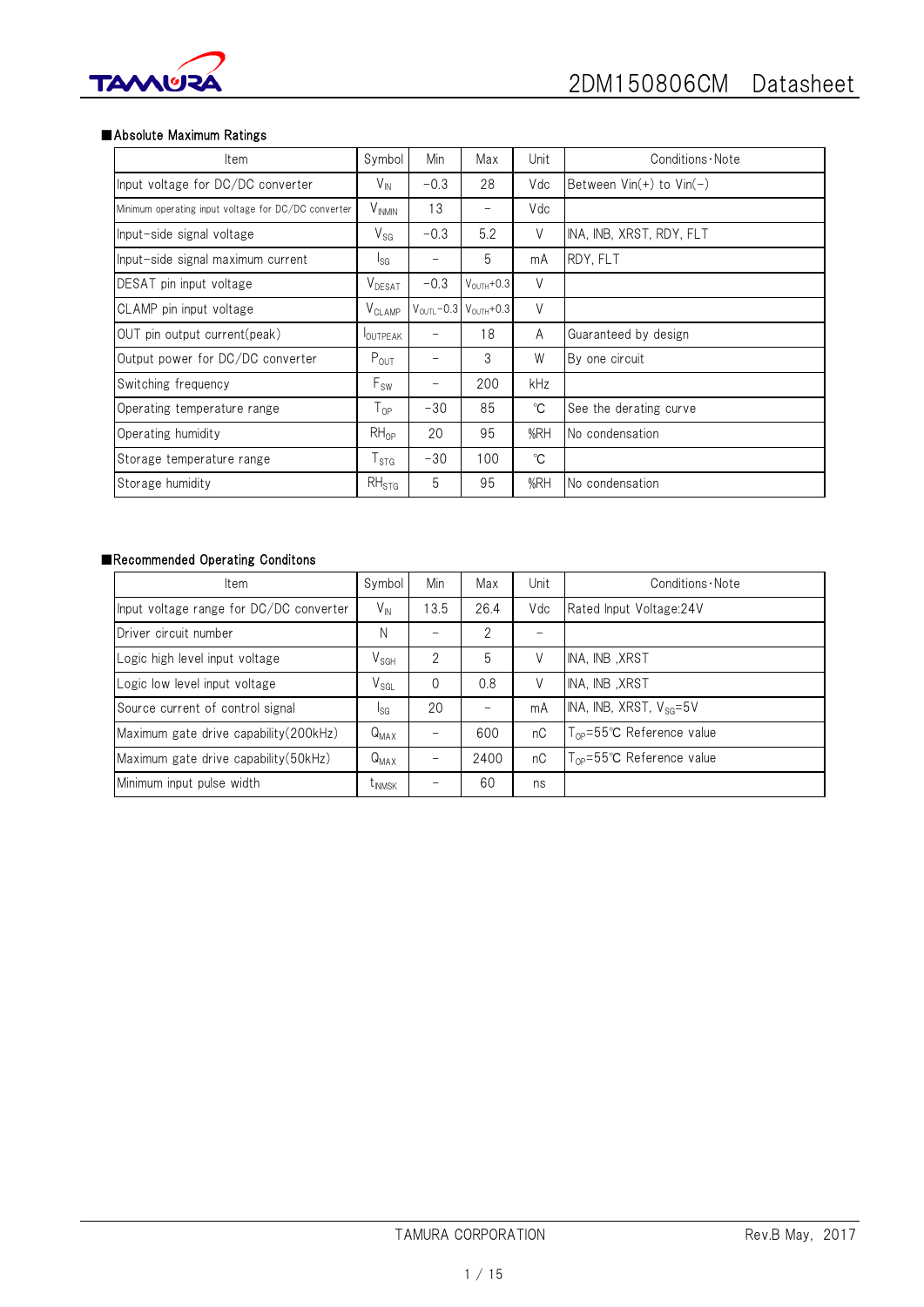

## ■Absolute Maximum Ratings

| Item                                                | Symbol                    | Min    | Max                                           | Unit        | Conditions · Note                            |
|-----------------------------------------------------|---------------------------|--------|-----------------------------------------------|-------------|----------------------------------------------|
| Input voltage for DC/DC converter                   | $V_{\text{IN}}$           | $-0.3$ | 28                                            | Vdc         | Between $\text{ Vin}(+)$ to $\text{ Vin}(-)$ |
| Minimum operating input voltage for DC/DC converter | <b>V</b> <sub>INMIN</sub> | 13     | -                                             | Vdc         |                                              |
| Input-side signal voltage                           | $V_{SG}$                  | $-0.3$ | 5.2                                           | V           | INA, INB, XRST, RDY, FLT                     |
| Input-side signal maximum current                   | l <sub>SG</sub>           |        | 5                                             | mA          | RDY, FLT                                     |
| DESAT pin input voltage                             | $V_{DESAT}$               | $-0.3$ | $V_{\text{OUTH}} + 0.3$                       | V           |                                              |
| CLAMP pin input voltage                             | $V_{CLAMP}$               |        | $V_{\text{OUTL}} - 0.3 V_{\text{OUTH}} + 0.3$ | V           |                                              |
| OUT pin output current(peak)                        | <b>IOUTPEAK</b>           |        | 18                                            | A           | Guaranteed by design                         |
| Output power for DC/DC converter                    | $P_{OUT}$                 |        | 3                                             | W           | By one circuit                               |
| Switching frequency                                 | $F_{SW}$                  | -      | 200                                           | kHz         |                                              |
| Operating temperature range                         | l op                      | $-30$  | 85                                            | °C          | See the derating curve                       |
| Operating humidity                                  | $RH_{OP}$                 | 20     | 95                                            | %RH         | No condensation                              |
| Storage temperature range                           | $I_{\text{STG}}$          | $-30$  | 100                                           | $^{\circ}C$ |                                              |
| Storage humidity                                    | RH <sub>STG</sub>         | 5      | 95                                            | %RH         | No condensation                              |

## ■Recommended Operating Conditons

| <b>Item</b>                             | Symbol          | Min      | Max  | Unit | Conditions Note                        |
|-----------------------------------------|-----------------|----------|------|------|----------------------------------------|
| Input voltage range for DC/DC converter | $V_{\text{IN}}$ | 13.5     | 26.4 | Vdc  | Rated Input Voltage: 24V               |
| Driver circuit number                   | N               |          | 2    |      |                                        |
| Logic high level input voltage          | $V_{SGH}$       | 2        | 5    | V    | INA. INB .XRST                         |
| Logic low level input voltage           | $V_{SGL}$       | $\Omega$ | 0.8  | V    | INA, INB, XRST                         |
| Source current of control signal        | l <sub>SG</sub> | 20       |      | mA   | INA, INB, XRST, $V_{SG}=5V$            |
| Maximum gate drive capability (200kHz)  | $Q_{MAX}$       |          | 600  | nC   | $T_{OP} = 55^{\circ}C$ Reference value |
| Maximum gate drive capability (50kHz)   | $Q_{MAX}$       |          | 2400 | nC   | $T_{OP} = 55^{\circ}C$ Reference value |
| Minimum input pulse width               | <b>TINMSK</b>   |          | 60   | ns   |                                        |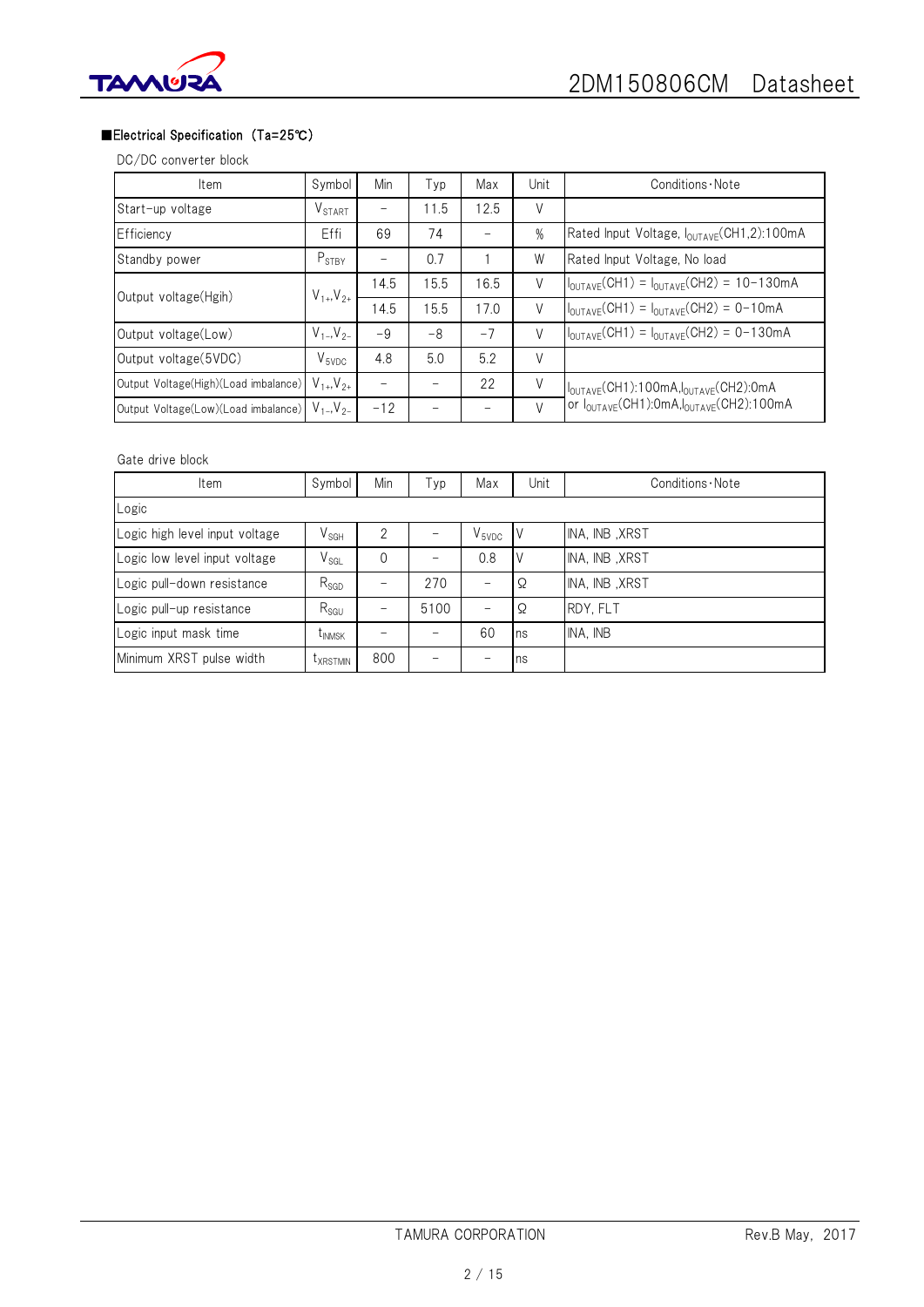

# ■Electrical Specification (Ta=25℃)

# DC/DC converter block

| Item                                                    | Symbol                        | Min   | Typ  | Max  | Unit          | Conditions Note                                                  |
|---------------------------------------------------------|-------------------------------|-------|------|------|---------------|------------------------------------------------------------------|
| Start-up voltage                                        | $\mathsf{V}_{\texttt{START}}$ |       | 11.5 | 12.5 | V             |                                                                  |
| Efficiency                                              | Effi                          | 69    | 74   |      | $\frac{0}{0}$ | Rated Input Voltage, I <sub>OUTAVF</sub> (CH1,2):100mA           |
| Standby power                                           | $P_{STBY}$                    |       | 0.7  |      | W             | Rated Input Voltage, No load                                     |
| Output voltage(Hgih)                                    | $V_{1+}$ , $V_{2+}$           | 14.5  | 15.5 | 16.5 | V             | $I_{\text{OUTAVE}}(CH1) = I_{\text{OUTAVE}}(CH2) = 10-130mA$     |
|                                                         |                               | 14.5  | 15.5 | 17.0 | V             | $I_{\text{OUTAVE}}(CH1) = I_{\text{OUTAVE}}(CH2) = 0-10mA$       |
| Output voltage(Low)                                     | $V_{1-}$ , $V_{2-}$           | $-9$  | $-8$ | $-7$ | V             | $I_{\text{OUTAVE}}(CH1) = I_{\text{OUTAVE}}(CH2) = 0-130mA$      |
| Output voltage(5VDC)                                    | $V_{SVDC}$                    | 4.8   | 5.0  | 5.2  | V             |                                                                  |
| Output Voltage(High)(Load imbalance)                    | $V_{1+}$ , $V_{2+}$           |       |      | 22   | $\vee$        | I <sub>OUTAVE</sub> (CH1):100mA,I <sub>OUTAVE</sub> (CH2):0mA    |
| Output Voltage(Low)(Load imbalance) $V_{1-}$ , $V_{2-}$ |                               | $-12$ |      |      | $\vee$        | or l <sub>ouTAVE</sub> (CH1):0mA,l <sub>ouTAVE</sub> (CH2):100mA |

## Gate drive block

| Item                           | Symbol               | Min          | Typ  | Max        | Unit | Conditions Note |  |  |
|--------------------------------|----------------------|--------------|------|------------|------|-----------------|--|--|
| Logic                          |                      |              |      |            |      |                 |  |  |
| Logic high level input voltage | $V_{SGH}$            |              |      | $V_{5VDC}$ | IV   | INA, INB, XRST  |  |  |
| Logic low level input voltage  | $V_{\texttt{SGL}}$   | $\mathbf{0}$ |      | 0.8        | ΙV   | INA. INB .XRST  |  |  |
| Logic pull-down resistance     | $R_{SGD}$            |              | 270  |            | Ω    | INA, INB, XRST  |  |  |
| Logic pull-up resistance       | $R_{SGU}$            |              | 5100 | -          | Ω    | RDY, FLT        |  |  |
| Logic input mask time          | t <sub>INMSK</sub>   |              |      | 60         | Ins  | INA, INB        |  |  |
| Minimum XRST pulse width       | <sup>I</sup> XRSTMIN | 800          |      |            | Ins  |                 |  |  |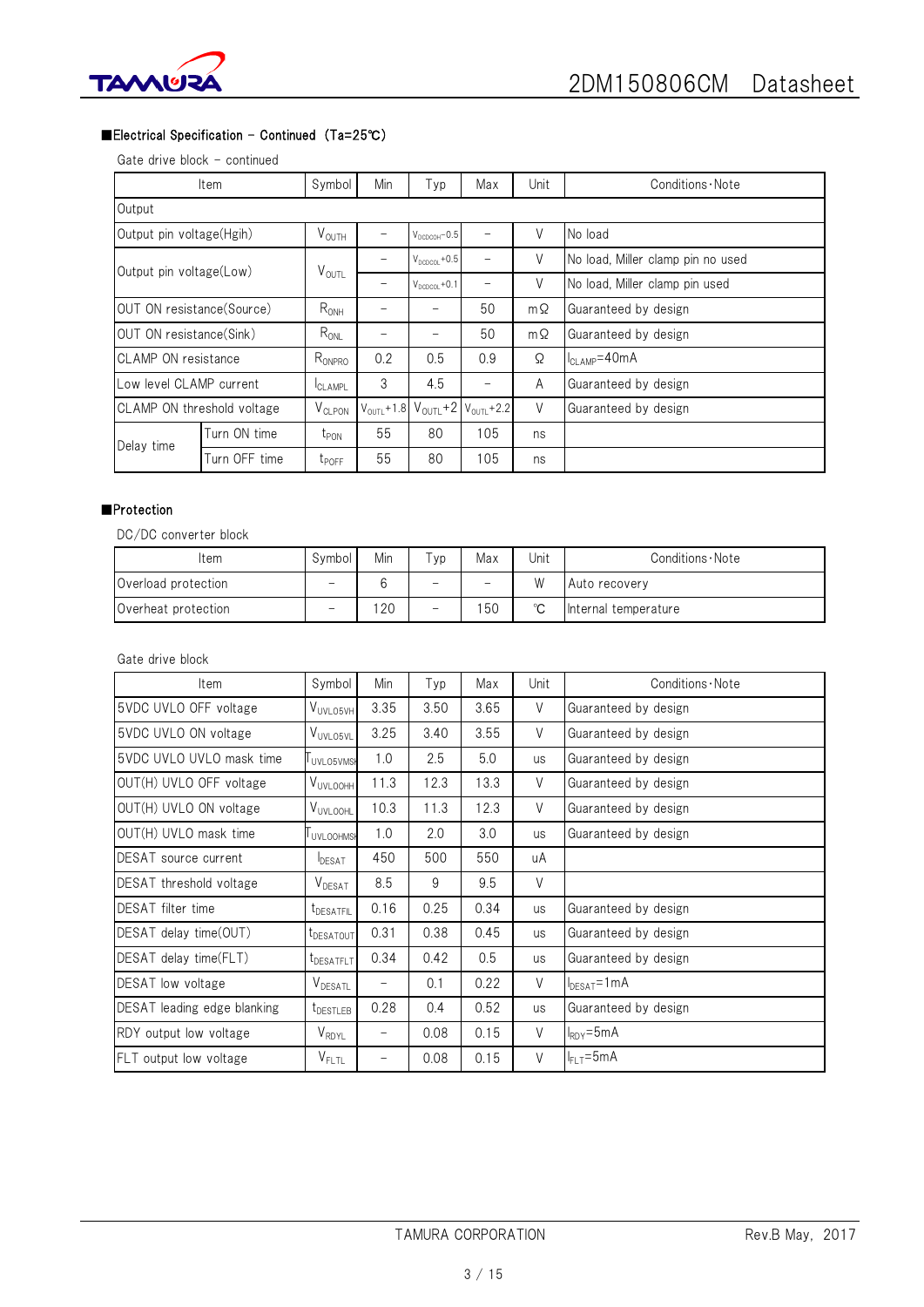



## ■Electrical Specification - Continued (Ta=25℃)

#### Gate drive block - continued

|                            | Item                    | Symbol                             | Min                     | Typ                       | Max                     | Unit      | Conditions Note                   |  |
|----------------------------|-------------------------|------------------------------------|-------------------------|---------------------------|-------------------------|-----------|-----------------------------------|--|
| Output                     |                         |                                    |                         |                           |                         |           |                                   |  |
| Output pin voltage(Hgih)   |                         | $V_{\text{OUTH}}$                  |                         | $V_{DCDCOH} - 0.5$        |                         | V         | No load                           |  |
|                            | Output pin voltage(Low) |                                    |                         | $V_{\text{DCDCOL}} + 0.5$ |                         | V         | No load, Miller clamp pin no used |  |
|                            |                         | $V_{\text{OUTL}}$                  | -                       | $V_{DCDCOL} + 0.1$        |                         | V         | No load, Miller clamp pin used    |  |
| OUT ON resistance (Source) |                         | $R_{ONH}$                          |                         |                           | 50                      | $m\Omega$ | Guaranteed by design              |  |
| OUT ON resistance (Sink)   |                         | $R_{ONL}$                          |                         |                           | 50                      | $m\Omega$ | Guaranteed by design              |  |
| <b>CLAMP ON resistance</b> |                         | $R_{\mathsf{ONPRO}}$               | 0.2                     | 0.5                       | 0.9                     | Ω         | I <sub>CLAMP</sub> =40mA          |  |
| Low level CLAMP current    |                         | <sup>I</sup> CLAMPL                | 3                       | 4.5                       | -                       | A         | Guaranteed by design              |  |
| CLAMP ON threshold voltage |                         | $\bm{\mathsf{V}}_{\texttt{CLPON}}$ | $V_{\text{OUTL}} + 1.8$ | $V_{\text{OUTL}} + 2$     | $V_{\text{OUTL}} + 2.2$ | $\vee$    | Guaranteed by design              |  |
| Delay time                 | Turn ON time            | $t_{\text{PON}}$                   | 55                      | 80                        | 105                     | ns        |                                   |  |
|                            | Turn OFF time           | $t_{\text{POFF}}$                  | 55                      | 80                        | 105                     | ns        |                                   |  |

### ■Protection

DC/DC converter block

| Item                | Symbol | Min | $\tau_{\mathsf{yp}}$     | Max                      | Unit   | Conditions · Note    |  |
|---------------------|--------|-----|--------------------------|--------------------------|--------|----------------------|--|
| Overload protection | -      |     | $\equiv$                 | $\overline{\phantom{0}}$ | W      | Auto recovery        |  |
| Overheat protection | -      | 20  | $\overline{\phantom{0}}$ | 50                       | $\sim$ | Internal temperature |  |

Gate drive block

| Item                        | Symbol                             | Min  | Typ  | Max  | Unit      | Conditions Note      |  |
|-----------------------------|------------------------------------|------|------|------|-----------|----------------------|--|
| 5VDC UVLO OFF voltage       | V <sub>UVLO5VH</sub>               | 3.35 | 3.50 | 3.65 | V         | Guaranteed by design |  |
| 5VDC UVLO ON voltage        | V <sub>UVLO5VL</sub>               | 3.25 | 3.40 | 3.55 | V         | Guaranteed by design |  |
| 5VDC UVLO UVLO mask time    | UVLO5VMSK                          | 1.0  | 2.5  | 5.0  | us        | Guaranteed by design |  |
| OUT(H) UVLO OFF voltage     | <b>VUVLOOHH</b>                    | 11.3 | 12.3 | 13.3 | V         | Guaranteed by design |  |
| OUT(H) UVLO ON voltage      | VUVLOOHL                           | 10.3 | 11.3 | 12.3 | V         | Guaranteed by design |  |
| OUT(H) UVLO mask time       | <b>UVLOOHMS</b>                    | 1.0  | 2.0  | 3.0  | us        | Guaranteed by design |  |
| DESAT source current        | DESAT                              | 450  | 500  | 550  | uA        |                      |  |
| DESAT threshold voltage     | $\bm{\mathsf{V}}_{\mathsf{DESAT}}$ | 8.5  | 9    | 9.5  | V         |                      |  |
| <b>DESAT</b> filter time    | <b>LDESATFIL</b>                   | 0.16 | 0.25 | 0.34 | <b>us</b> | Guaranteed by design |  |
| DESAT delay time(OUT)       | t <sub>DESATOUT</sub>              | 0.31 | 0.38 | 0.45 | <b>US</b> | Guaranteed by design |  |
| DESAT delay time(FLT)       | <b>LDESATFLT</b>                   | 0.34 | 0.42 | 0.5  | <b>US</b> | Guaranteed by design |  |
| DESAT low voltage           | $V_{DESATL}$                       | -    | 0.1  | 0.22 | V         | $I_{DESAT} = 1 mA$   |  |
| DESAT leading edge blanking | t <sub>DESTLEB</sub>               | 0.28 | 0.4  | 0.52 | us        | Guaranteed by design |  |
| RDY output low voltage      | $\mathsf{V}_{\mathsf{RDYL}}$       | -    | 0.08 | 0.15 | V         | $I_{RDY} = 5mA$      |  |
| FLT output low voltage      | $V_{\sf FLTL}$                     | -    | 0.08 | 0.15 | V         | $I_{FLT} = 5mA$      |  |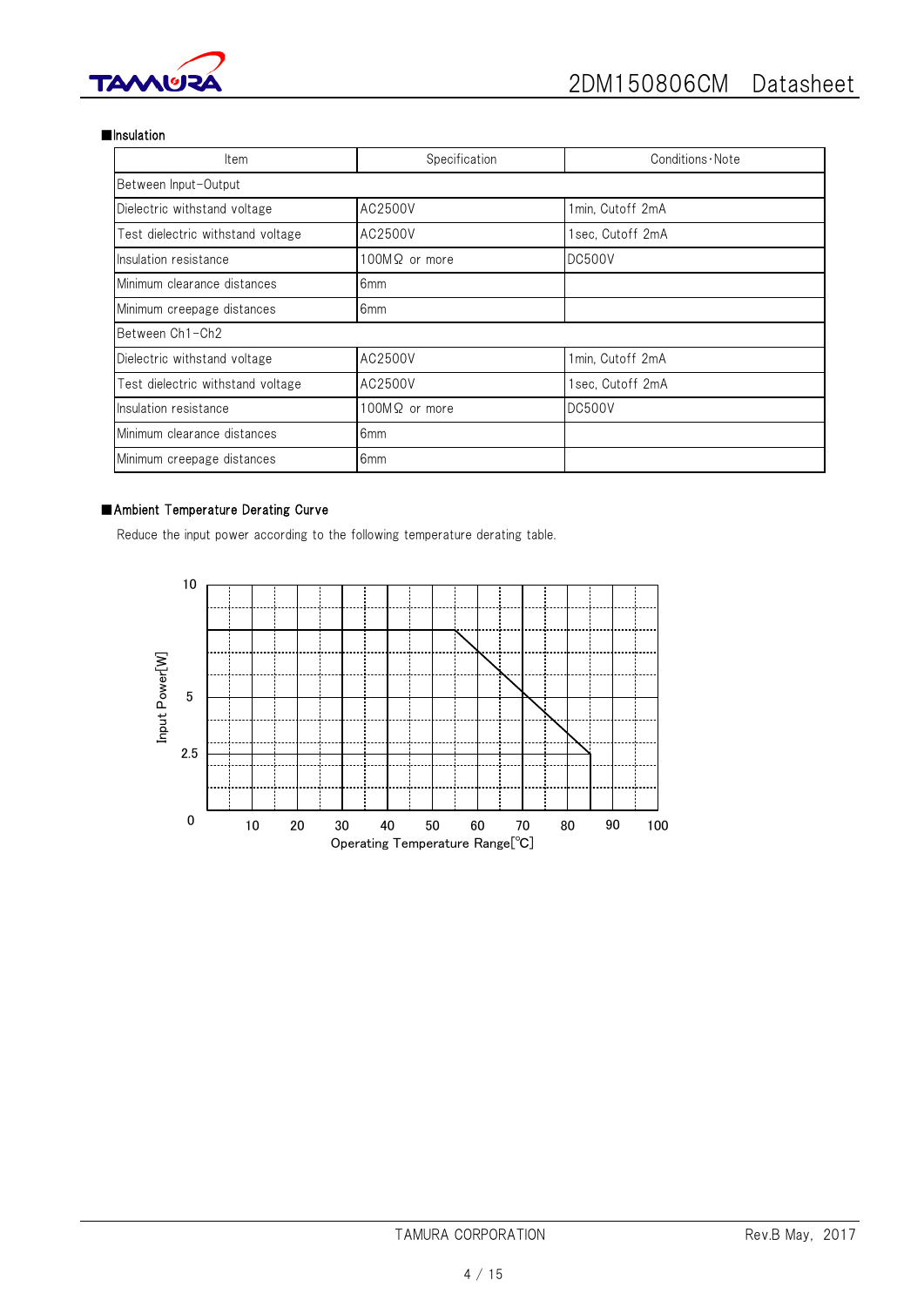

### ■Insulation

| Item                              | Specification        | Conditions Note  |
|-----------------------------------|----------------------|------------------|
| Between Input-Output              |                      |                  |
| Dielectric withstand voltage      | AC2500V              | 1min, Cutoff 2mA |
| Test dielectric withstand voltage | AC2500V              | Isec, Cutoff 2mA |
| Insulation resistance             | ΙOOMΩ or more        | DC500V           |
| Minimum clearance distances       | 6 <sub>mm</sub>      |                  |
| Minimum creepage distances        | 6 <sub>mm</sub>      |                  |
| Between Ch1-Ch2                   |                      |                  |
| Dielectric withstand voltage      | AC2500V              | 1min, Cutoff 2mA |
| Test dielectric withstand voltage | AC2500V              | lsec, Cutoff 2mA |
| Insulation resistance             | $100M\Omega$ or more | <b>DC500V</b>    |
| Minimum clearance distances       | 6 <sub>mm</sub>      |                  |
| Minimum creepage distances        | 6mm                  |                  |

## ■Ambient Temperature Derating Curve

Reduce the input power according to the following temperature derating table.

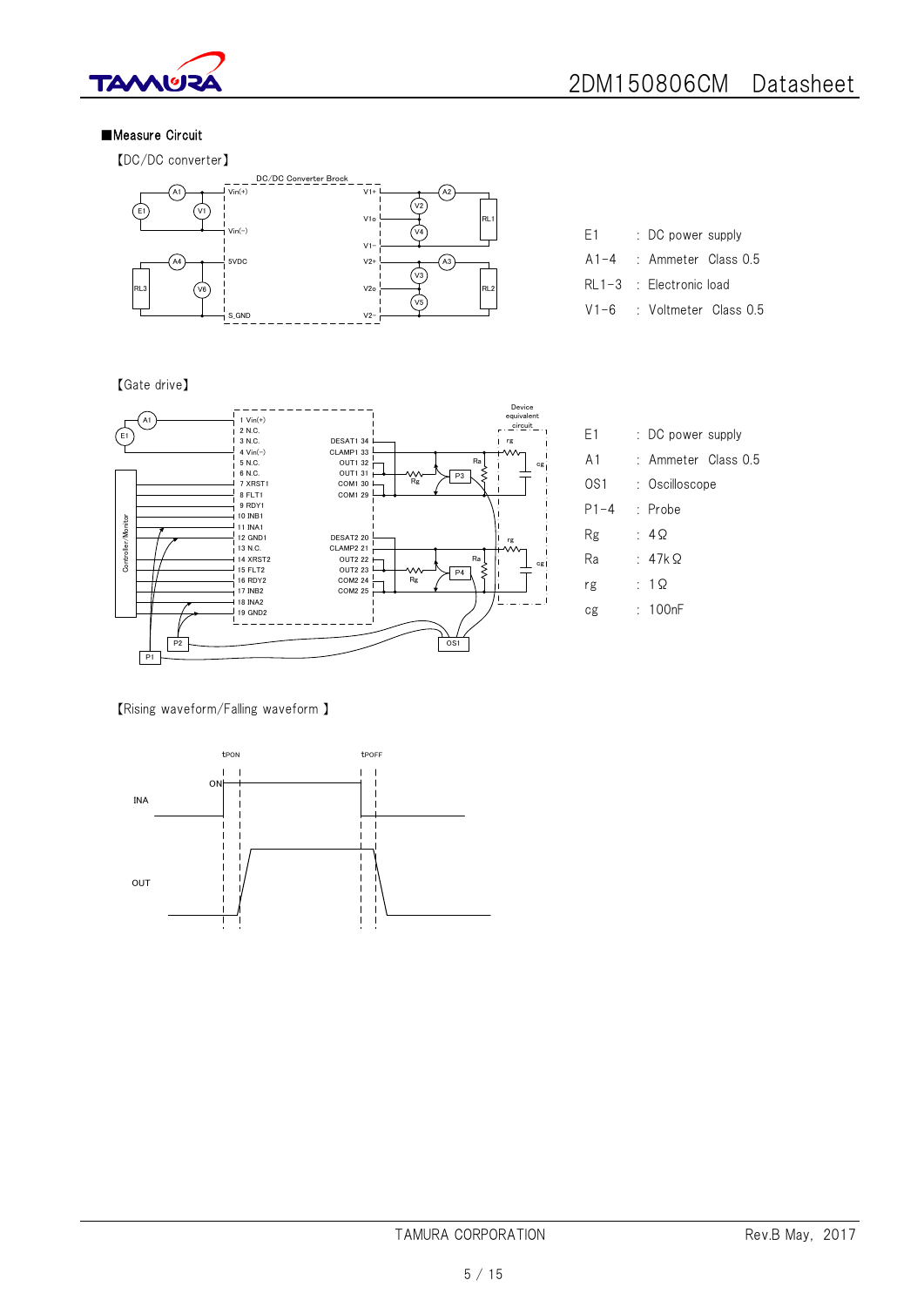

## ■Measure Circuit

【DC/DC converter】



E1 : DC power supply A1-4 : Ammeter Class 0.5 RL1-3 : Electronic load V1-6 : Voltmeter Class 0.5

### 【Gate drive】



【Rising waveform/Falling waveform 】

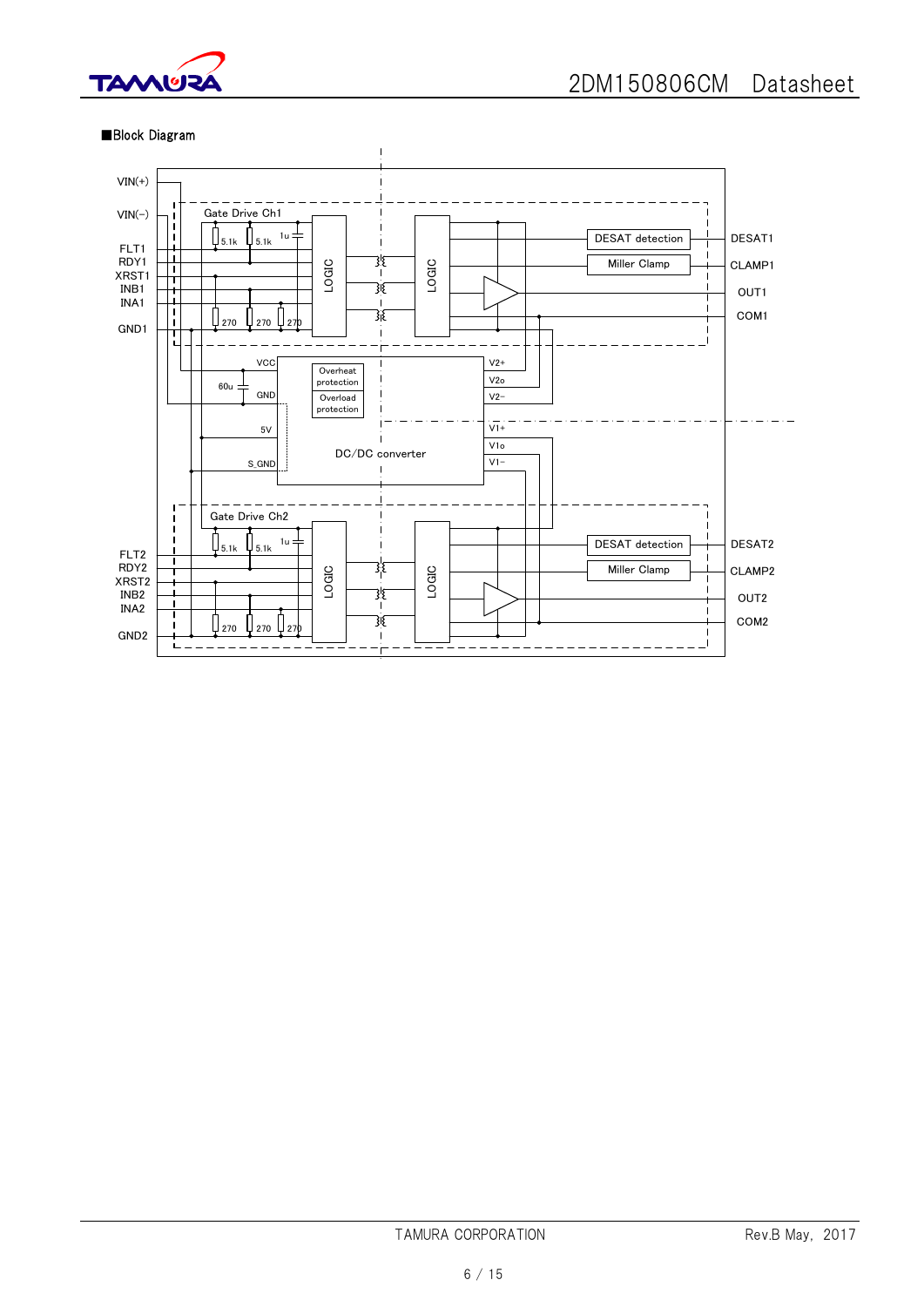

### ■Block Diagram

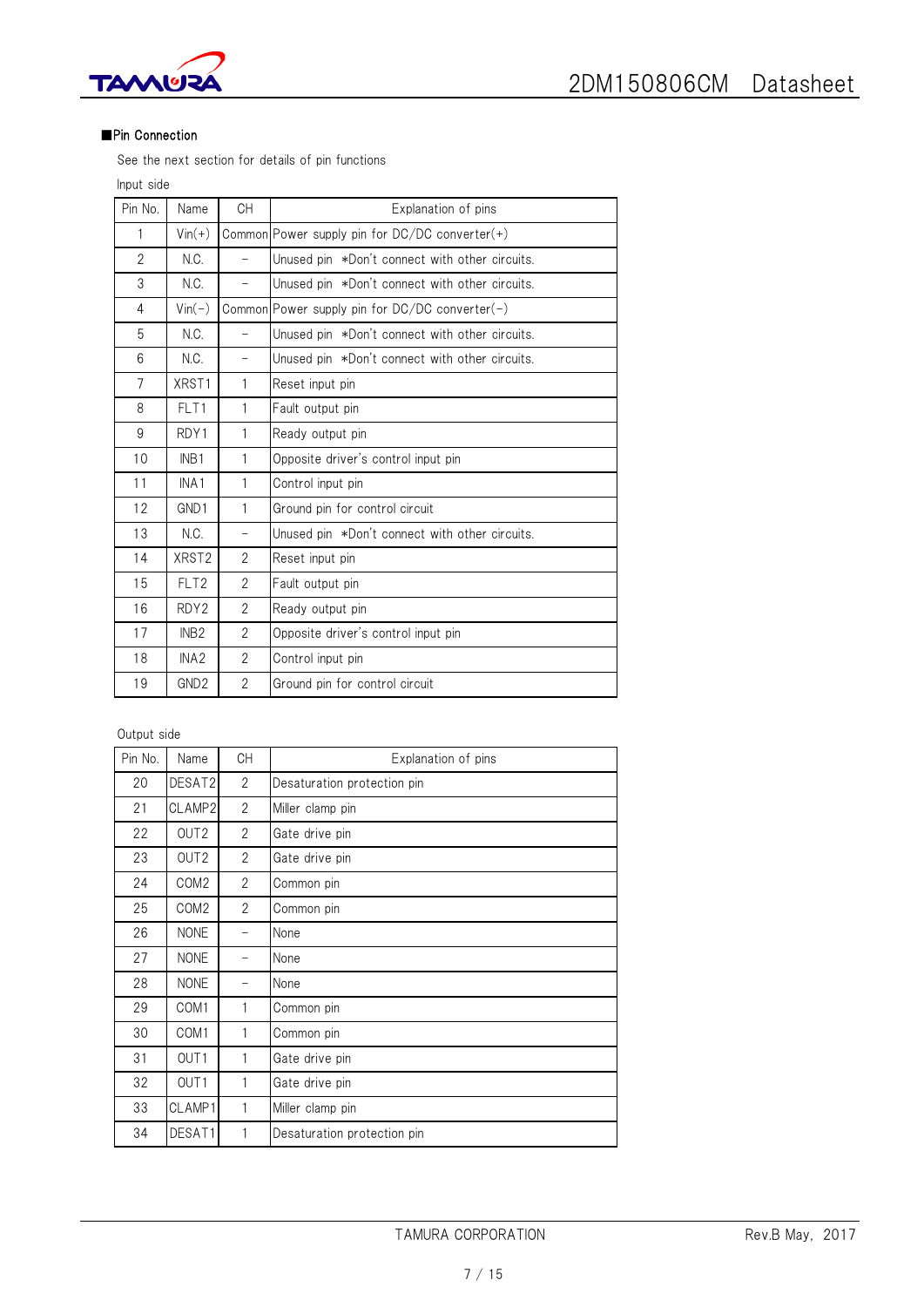

## ■Pin Connection

See the next section for details of pin functions

Input side

| Pin No.        | Name              | <b>CH</b>                | Explanation of pins                                 |
|----------------|-------------------|--------------------------|-----------------------------------------------------|
| 1              | $Vin(+)$          |                          | Common Power supply pin for $DC/DC$ converter $(+)$ |
| $\overline{2}$ | N.C.              | $\overline{\phantom{0}}$ | Unused pin *Don't connect with other circuits.      |
| 3              | N.C.              | $\qquad \qquad -$        | Unused pin *Don't connect with other circuits.      |
| 4              | $Vin(-)$          |                          | Common Power supply pin for DC/DC converter(-)      |
| 5              | N.C.              | $\overline{\phantom{0}}$ | Unused pin *Don't connect with other circuits.      |
| 6              | N.C.              | $\overline{\phantom{0}}$ | Unused pin *Don't connect with other circuits.      |
| $\overline{7}$ | XRST1             | $\mathbf{1}$             | Reset input pin                                     |
| 8              | FLT1              | $\mathbf{1}$             | Fault output pin                                    |
| 9              | RDY1              | 1                        | Ready output pin                                    |
| 10             | INB <sub>1</sub>  | 1                        | Opposite driver's control input pin                 |
| 11             | INA <sub>1</sub>  | $\mathbf{1}$             | Control input pin                                   |
| 12             | GND1              | $\mathbf{1}$             | Ground pin for control circuit                      |
| 13             | N.C.              | -                        | Unused pin *Don't connect with other circuits.      |
| 14             | XRST <sub>2</sub> | $\overline{2}$           | Reset input pin                                     |
| 15             | FLT <sub>2</sub>  | $\overline{2}$           | Fault output pin                                    |
| 16             | RDY <sub>2</sub>  | $\overline{2}$           | Ready output pin                                    |
| 17             | INB <sub>2</sub>  | $\overline{2}$           | Opposite driver's control input pin                 |
| 18             | INA <sub>2</sub>  | $\overline{2}$           | Control input pin                                   |
| 19             | GND <sub>2</sub>  | $\overline{2}$           | Ground pin for control circuit                      |

## Output side

| Pin No. | Name             | <b>CH</b>      | Explanation of pins         |
|---------|------------------|----------------|-----------------------------|
| 20      | DESAT2           | $\overline{2}$ | Desaturation protection pin |
| 21      | CLAMP2           | $\overline{2}$ | Miller clamp pin            |
| 22      | OUT <sub>2</sub> | $\overline{2}$ | Gate drive pin              |
| 23      | OUT <sub>2</sub> | $\overline{c}$ | Gate drive pin              |
| 24      | COM <sub>2</sub> | $\overline{2}$ | Common pin                  |
| 25      | COM <sub>2</sub> | $\overline{2}$ | Common pin                  |
| 26      | <b>NONE</b>      |                | None                        |
| 27      | <b>NONE</b>      | -              | None                        |
| 28      | <b>NONE</b>      |                | None                        |
| 29      | COM1             | 1              | Common pin                  |
| 30      | COM1             | 1              | Common pin                  |
| 31      | OUT1             | 1              | Gate drive pin              |
| 32      | OUT <sub>1</sub> | 1              | Gate drive pin              |
| 33      | CLAMP1           | 1              | Miller clamp pin            |
| 34      | DESAT1           | 1              | Desaturation protection pin |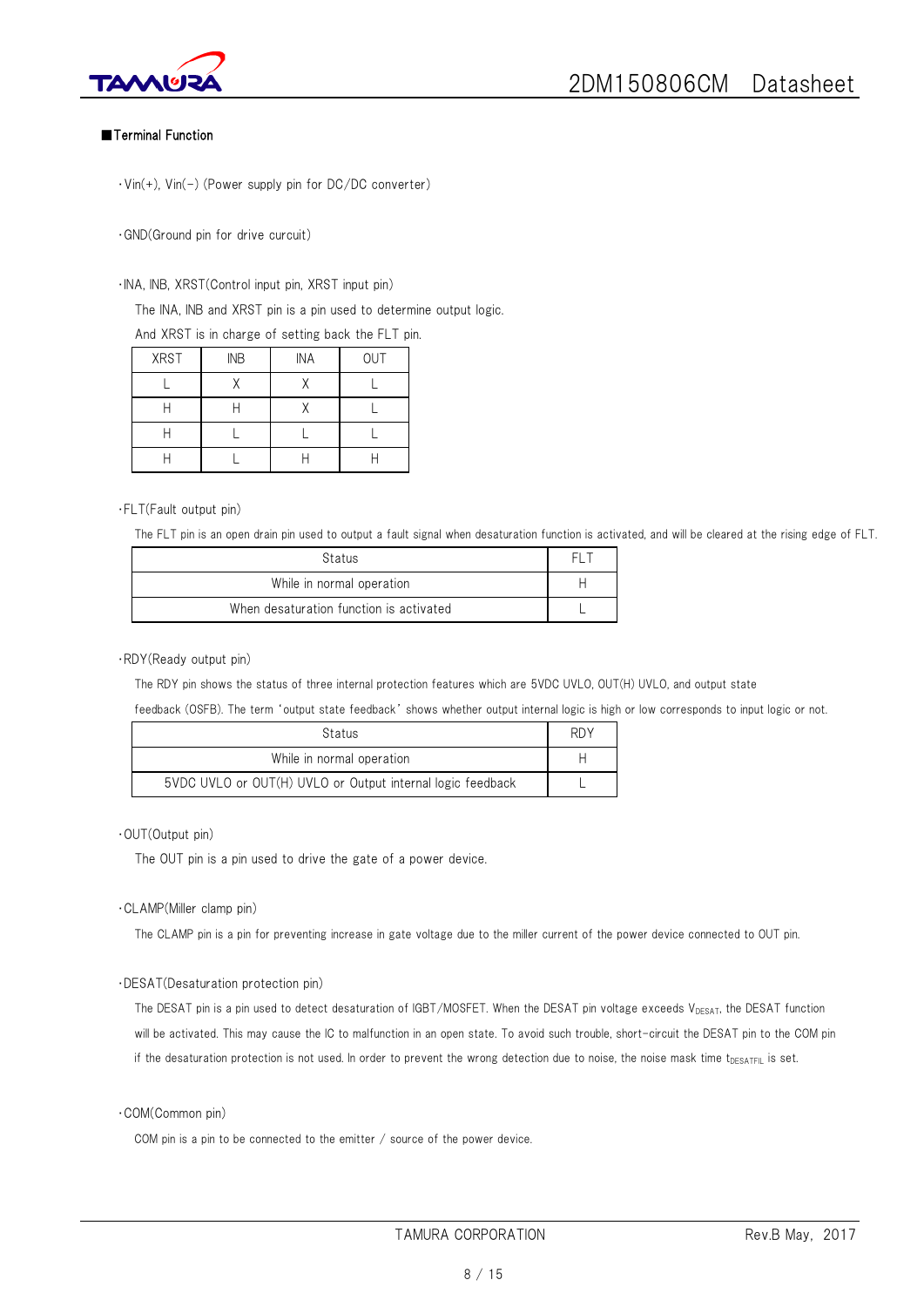



### ■Terminal Function

・Vin(+), Vin(-) (Power supply pin for DC/DC converter)

・GND(Ground pin for drive curcuit)

#### ・INA, INB, XRST(Control input pin, XRST input pin)

The INA, INB and XRST pin is a pin used to determine output logic.

And XRST is in charge of setting back the FLT pin.

| <b>XRST</b> | <b>INB</b> | <b>INA</b> | OUT |
|-------------|------------|------------|-----|
|             |            |            |     |
|             |            |            |     |
|             |            |            |     |
|             |            |            |     |

#### ・FLT(Fault output pin)

The FLT pin is an open drain pin used to output a fault signal when desaturation function is activated, and will be cleared at the rising edge of FLT.

| Status                                  |  |
|-----------------------------------------|--|
| While in normal operation               |  |
| When desaturation function is activated |  |

#### ・RDY(Ready output pin)

The RDY pin shows the status of three internal protection features which are 5VDC UVLO, OUT(H) UVLO, and output state

feedback (OSFB). The term 'output state feedback' shows whether output internal logic is high or low corresponds to input logic or not.

| Status                                                     |  |  |  |  |  |
|------------------------------------------------------------|--|--|--|--|--|
| While in normal operation                                  |  |  |  |  |  |
| 5VDC UVLO or OUT(H) UVLO or Output internal logic feedback |  |  |  |  |  |

### ・OUT(Output pin)

The OUT pin is a pin used to drive the gate of a power device.

#### ・CLAMP(Miller clamp pin)

The CLAMP pin is a pin for preventing increase in gate voltage due to the miller current of the power device connected to OUT pin.

### ・DESAT(Desaturation protection pin)

The DESAT pin is a pin used to detect desaturation of IGBT/MOSFET. When the DESAT pin voltage exceeds  $V_{DESAT}$ , the DESAT function will be activated. This may cause the IC to malfunction in an open state. To avoid such trouble, short-circuit the DESAT pin to the COM pin if the desaturation protection is not used. In order to prevent the wrong detection due to noise, the noise mask time  $t_{DESATFL}$  is set.

#### ・COM(Common pin)

COM pin is a pin to be connected to the emitter / source of the power device.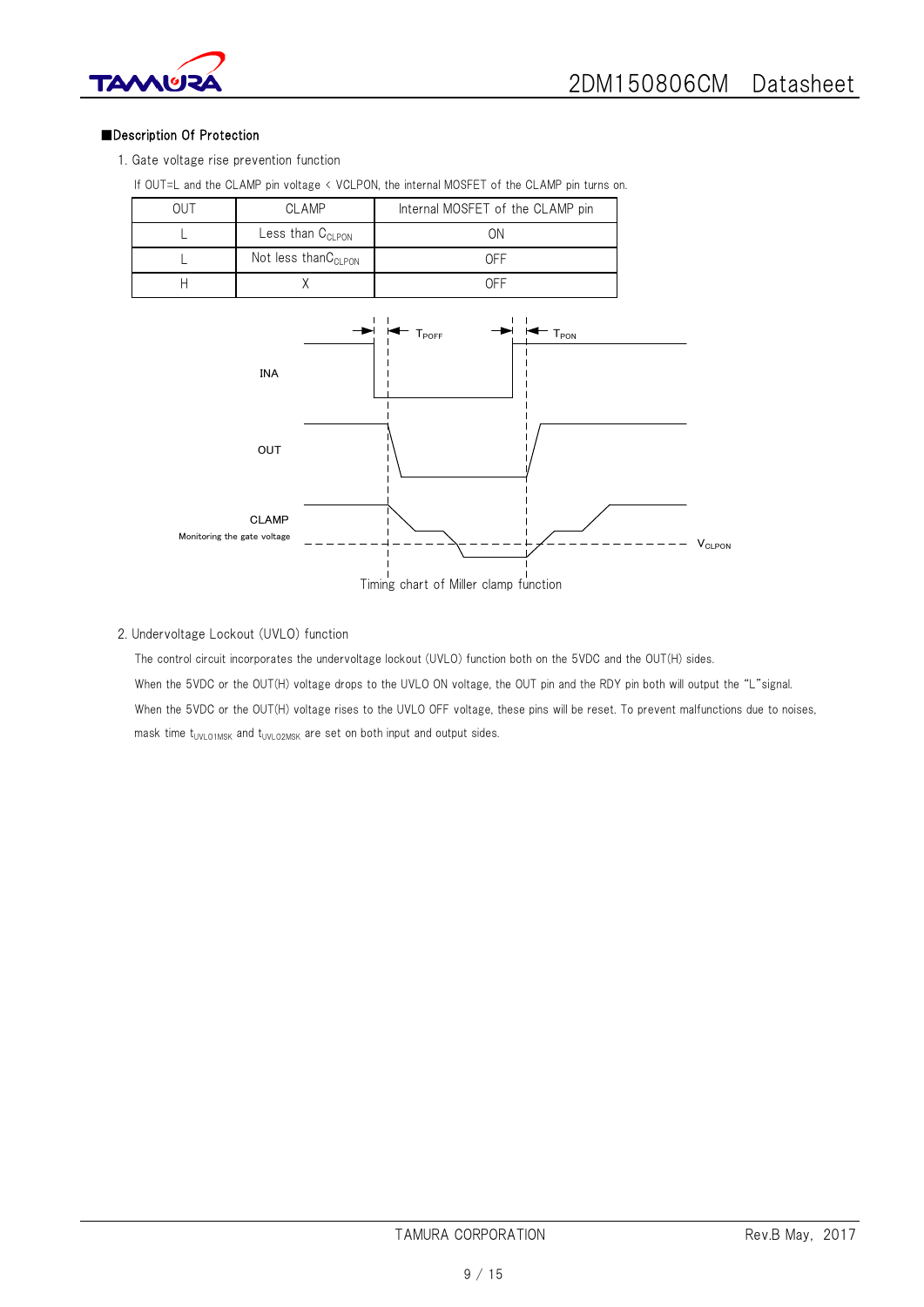



## ■Description Of Protection

1. Gate voltage rise prevention function

| <b>OUT</b> | <b>CLAMP</b>                    | Internal MOSFET of the CLAMP pin                 |  |
|------------|---------------------------------|--------------------------------------------------|--|
|            | Less than C <sub>CLPON</sub>    | ΟN                                               |  |
|            | Not less thanC <sub>CLPON</sub> | <b>OFF</b>                                       |  |
| Н          |                                 | <b>OFF</b>                                       |  |
|            | <b>INA</b>                      | $T_{\mathsf{POFF}}$<br>$\mathsf{T}_\mathsf{PON}$ |  |



Timing chart of Miller clamp function

## 2. Undervoltage Lockout (UVLO) function

The control circuit incorporates the undervoltage lockout (UVLO) function both on the 5VDC and the OUT(H) sides. When the 5VDC or the OUT(H) voltage drops to the UVLO ON voltage, the OUT pin and the RDY pin both will output the "L"signal. When the 5VDC or the OUT(H) voltage rises to the UVLO OFF voltage, these pins will be reset. To prevent malfunctions due to noises, mask time  $t_{UVLO1MSK}$  and  $t_{UVLO2MSK}$  are set on both input and output sides.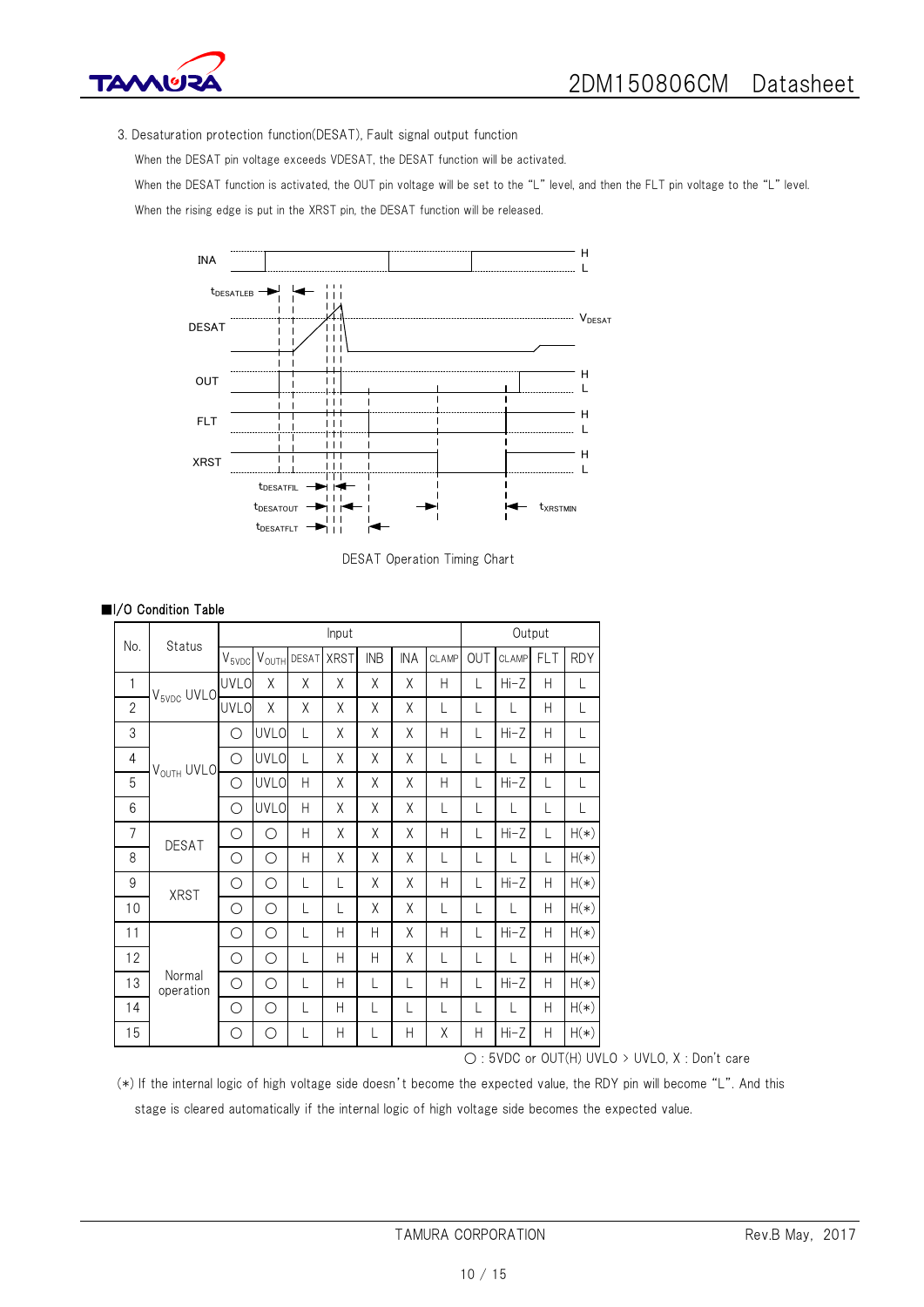

3. Desaturation protection function(DESAT), Fault signal output function

When the DESAT pin voltage exceeds VDESAT, the DESAT function will be activated.

When the DESAT function is activated, the OUT pin voltage will be set to the "L" level, and then the FLT pin voltage to the "L" level.

When the rising edge is put in the XRST pin, the DESAT function will be released.



DESAT Operation Timing Chart

| No.            | Status                 | Input       |                     |       |             |            |            |       | Output |        |            |            |
|----------------|------------------------|-------------|---------------------|-------|-------------|------------|------------|-------|--------|--------|------------|------------|
|                |                        | $V_{5VDC}$  | $\rm V_{\rm OUTH}$  | DESAT | <b>XRST</b> | <b>INB</b> | <b>INA</b> | CLAMP | OUT    | CLAMP  | <b>FLT</b> | <b>RDY</b> |
| 1              | V <sub>5VDC</sub> UVLO | <b>UVLO</b> | χ                   | X     | Χ           | X          | χ          | Н     |        | $Hi-Z$ | Η          |            |
| $\mathbf{2}$   |                        | <b>UVLO</b> | X                   | χ     | Χ           | Χ          | χ          | L     | L      |        | Н          | L          |
| 3              |                        | О           | <b>UVLO</b>         | L     | Χ           | Χ          | χ          | Н     | L      | $Hi-Z$ | Н          | L          |
| $\overline{4}$ | V <sub>OUTH</sub> UVLO | $\circ$     | <b>UVLO</b>         | L     | Χ           | Χ          | Χ          | L     | L      | L      | Η          | L          |
| 5              |                        | О           | <b>UVLO</b>         | Н     | Χ           | X          | χ          | Н     | L      | $Hi-Z$ | L          | L          |
| 6              |                        | О           | <b>UVLO</b>         | Н     | Χ           | X          | Χ          | L     | L      | L      | L          | L          |
| $\overline{7}$ | <b>DESAT</b>           | О           | O                   | Н     | Χ           | X          | X          | Н     | L      | $Hi-Z$ | L          | $H(*)$     |
| 8              |                        | О           | О                   | Н     | Χ           | χ          | Χ          | L     | L      | L      | L          | $H(*)$     |
| 9              | <b>XRST</b>            | О           | О                   | L     | L           | X          | Χ          | Н     | L      | $Hi-Z$ | Н          | $H(*)$     |
| 10             |                        | О           | О                   | L     | L           | X          | Χ          | L     | L      | L      | Н          | $H(*)$     |
| 11             |                        | О           | $\bigcirc$          | L     | Н           | H          | χ          | Н     | L      | $Hi-Z$ | Η          | $H(*)$     |
| 12             | Normal<br>operation    | О           | О                   | L     | Η           | Н          | χ          | L     | L      | L      | Η          | $H(*)$     |
| 13             |                        | О           | $\circlearrowright$ | L     | Н           | L          | L          | Η     | L      | Hi-Z   | Н          | $H(*)$     |
| 14             |                        | О           | $\bigcirc$          | L     | Н           | L          | L          | L     | L      | L      | Н          | $H(*)$     |
| 15             |                        | О           | О                   | L     | Η           | L          | Н          | Χ     | Н      | Hi-Z   | Н          | $H(*)$     |

## ■I/O Condition Table

○ : 5VDC or OUT(H) UVLO > UVLO, X : Don't care

(\*) If the internal logic of high voltage side doesn't become the expected value, the RDY pin will become "L". And this stage is cleared automatically if the internal logic of high voltage side becomes the expected value.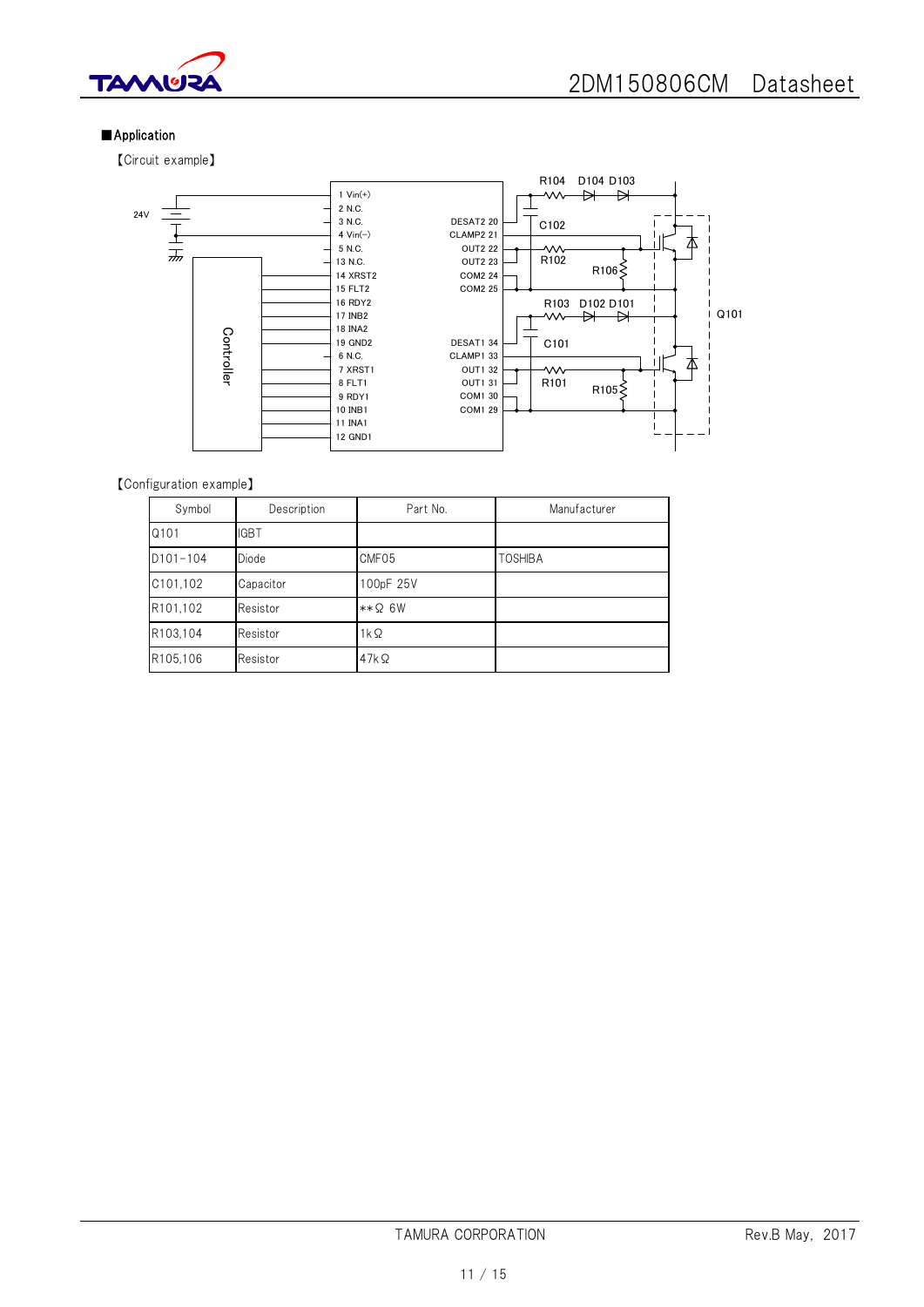

## ■Application

【Circuit example】



【Configuration example】

| Symbol       | Description | Part No.      | Manufacturer   |  |  |
|--------------|-------------|---------------|----------------|--|--|
| Q101         | <b>IGBT</b> |               |                |  |  |
| $D101 - 104$ | Diode       | CMF05         | <b>TOSHIBA</b> |  |  |
| C101,102     | Capacitor   | 100pF 25V     |                |  |  |
| R101.102     | Resistor    | $**\Omega$ 6W |                |  |  |
| R103.104     | Resistor    | $1k\Omega$    |                |  |  |
| R105,106     | Resistor    | $47k\Omega$   |                |  |  |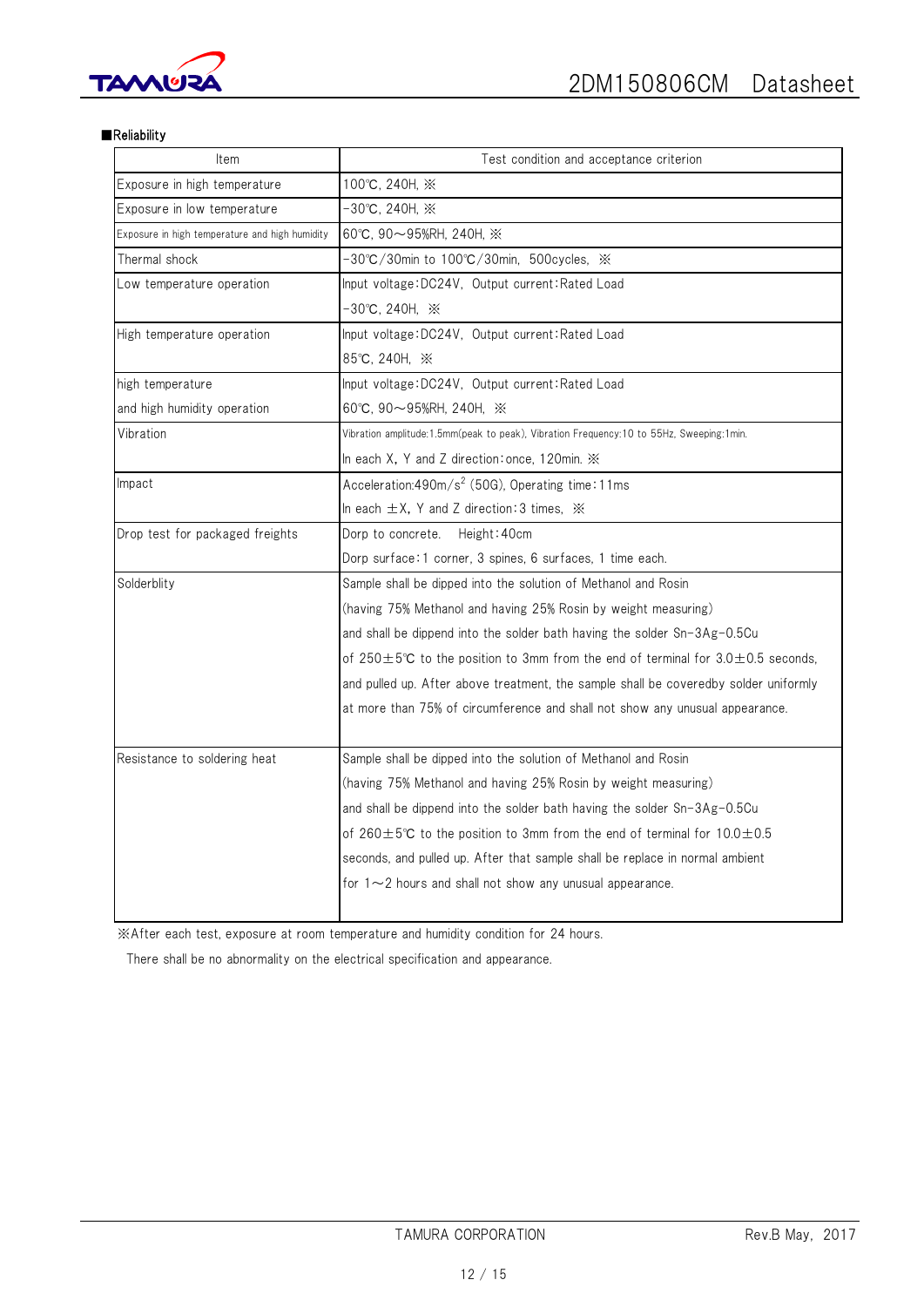

#### ■Reliability

| Item                                           | Test condition and acceptance criterion                                                     |  |  |  |  |
|------------------------------------------------|---------------------------------------------------------------------------------------------|--|--|--|--|
| Exposure in high temperature                   | 100℃, 240H, ※                                                                               |  |  |  |  |
| Exposure in low temperature                    | $-30^{\circ}$ C, 240H, $\times$                                                             |  |  |  |  |
| Exposure in high temperature and high humidity | 60°C, 90 $\sim$ 95%RH, 240H, $\times$                                                       |  |  |  |  |
| Thermal shock                                  | -30℃/30min to 100℃/30min,500cycles,※                                                        |  |  |  |  |
| Low temperature operation                      | Input voltage: DC24V, Output current: Rated Load                                            |  |  |  |  |
|                                                | -30℃, 240H, ※                                                                               |  |  |  |  |
| High temperature operation                     | Input voltage:DC24V, Output current:Rated Load                                              |  |  |  |  |
|                                                | 85℃, 240H, ※                                                                                |  |  |  |  |
| high temperature                               | lnput voltage:DC24V,Output current:Rated Load                                               |  |  |  |  |
| and high humidity operation                    | 60℃, 90~95%RH, 240H, ※                                                                      |  |  |  |  |
| Vibration                                      | Vibration amplitude:1.5mm(peak to peak), Vibration Frequency:10 to 55Hz, Sweeping:1min.     |  |  |  |  |
|                                                | In each X, Y and Z direction: once, 120min. X                                               |  |  |  |  |
| Impact                                         | Acceleration:490m/s <sup>2</sup> (50G), Operating time:11ms                                 |  |  |  |  |
|                                                | In each $\pm$ X, Y and Z direction: 3 times, $\frac{1}{2}$                                  |  |  |  |  |
| Drop test for packaged freights                | Height: 40cm<br>Dorp to concrete.                                                           |  |  |  |  |
|                                                | Dorp surface: 1 corner, 3 spines, 6 surfaces, 1 time each.                                  |  |  |  |  |
| Solderblity                                    | Sample shall be dipped into the solution of Methanol and Rosin                              |  |  |  |  |
|                                                | (having 75% Methanol and having 25% Rosin by weight measuring)                              |  |  |  |  |
|                                                | and shall be dippend into the solder bath having the solder Sn-3Ag-0.5Cu                    |  |  |  |  |
|                                                | of 250 $\pm$ 5°C to the position to 3mm from the end of terminal for 3.0 $\pm$ 0.5 seconds, |  |  |  |  |
|                                                | and pulled up. After above treatment, the sample shall be coveredby solder uniformly        |  |  |  |  |
|                                                | at more than 75% of circumference and shall not show any unusual appearance.                |  |  |  |  |
|                                                |                                                                                             |  |  |  |  |
| Resistance to soldering heat                   | Sample shall be dipped into the solution of Methanol and Rosin                              |  |  |  |  |
|                                                | (having 75% Methanol and having 25% Rosin by weight measuring)                              |  |  |  |  |
|                                                | and shall be dippend into the solder bath having the solder Sn-3Ag-0.5Cu                    |  |  |  |  |
|                                                | of 260 $\pm$ 5°C to the position to 3mm from the end of terminal for 10.0 $\pm$ 0.5         |  |  |  |  |
|                                                | seconds, and pulled up. After that sample shall be replace in normal ambient                |  |  |  |  |
|                                                | for $1 \sim 2$ hours and shall not show any unusual appearance.                             |  |  |  |  |
|                                                |                                                                                             |  |  |  |  |

※After each test, exposure at room temperature and humidity condition for 24 hours.

There shall be no abnormality on the electrical specification and appearance.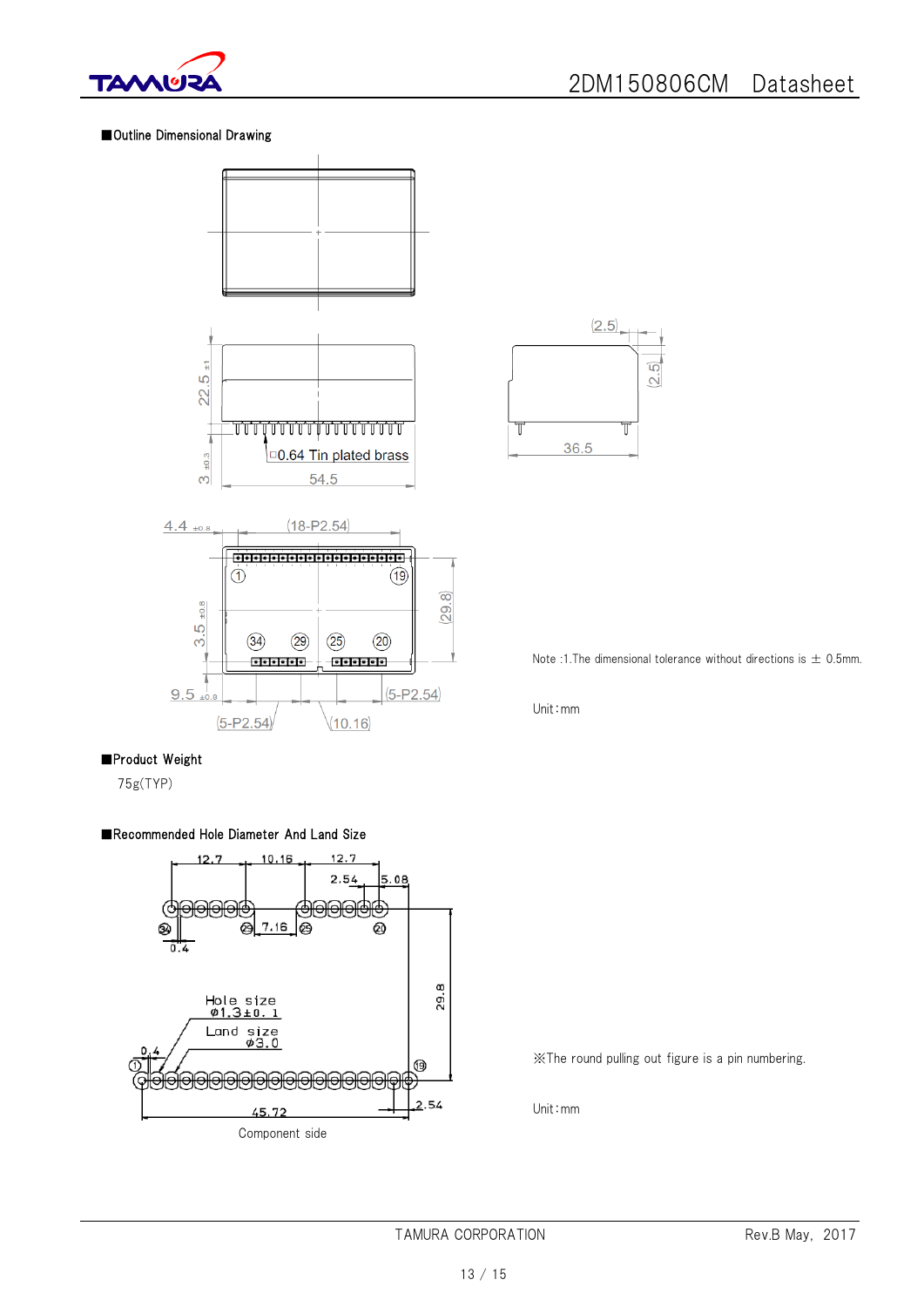

### ■Outline Dimensional Drawing





Note :1. The dimensional tolerance without directions is  $\pm$  0.5mm.

Unit:mm

#### ■Product Weight

75g(TYP)

### ■Recommended Hole Diameter And Land Size



※The round pulling out figure is a pin numbering.

Unit:mm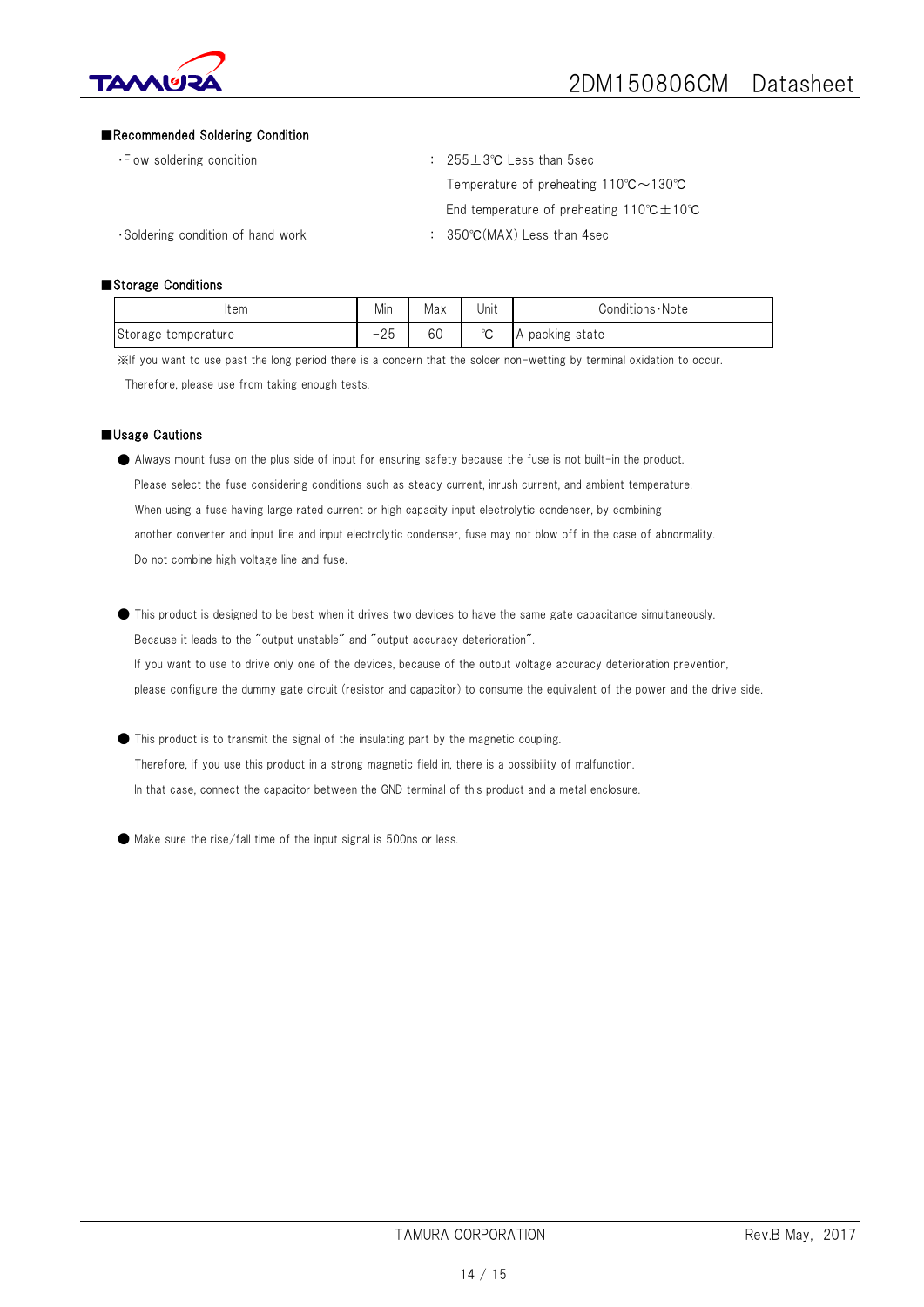

#### ■Recommended Soldering Condition

・Flow soldering condition : 255±3℃ Less than 5sec Temperature of preheating 110℃~130℃ End temperature of preheating 110℃±10℃

・Soldering condition of hand work : 350℃(MAX) Less than 4sec

#### ■Storage Conditions

| Item                | Min                | Max | Unit        | Conditions Note    |
|---------------------|--------------------|-----|-------------|--------------------|
| Storage temperature | $\cap$<br>-<br>2 J | 60  | $\sim$<br>◡ | packing state<br>A |

※If you want to use past the long period there is a concern that the solder non-wetting by terminal oxidation to occur. Therefore, please use from taking enough tests.

#### ■Usage Cautions

- Always mount fuse on the plus side of input for ensuring safety because the fuse is not built-in the product. Please select the fuse considering conditions such as steady current, inrush current, and ambient temperature. When using a fuse having large rated current or high capacity input electrolytic condenser, by combining another converter and input line and input electrolytic condenser, fuse may not blow off in the case of abnormality. Do not combine high voltage line and fuse.
- This product is designed to be best when it drives two devices to have the same gate capacitance simultaneously. Because it leads to the "output unstable" and "output accuracy deterioration". If you want to use to drive only one of the devices, because of the output voltage accuracy deterioration prevention, please configure the dummy gate circuit (resistor and capacitor) to consume the equivalent of the power and the drive side.
- This product is to transmit the signal of the insulating part by the magnetic coupling. Therefore, if you use this product in a strong magnetic field in, there is a possibility of malfunction. In that case, connect the capacitor between the GND terminal of this product and a metal enclosure.
- Make sure the rise/fall time of the input signal is 500ns or less.